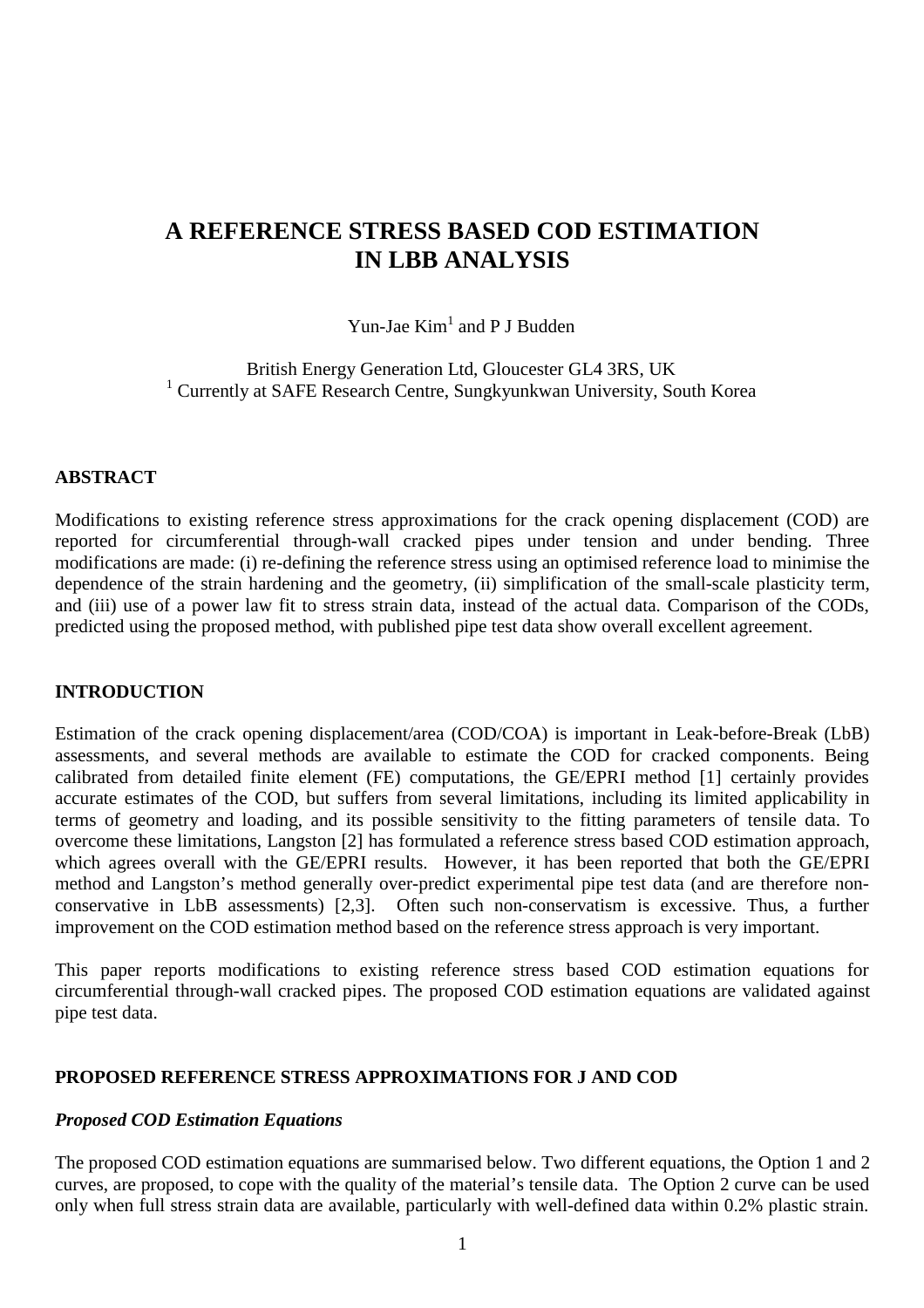# **A REFERENCE STRESS BASED COD ESTIMATION IN LBB ANALYSIS**

Yun-Jae  $Kim<sup>1</sup>$  and P J Budden

British Energy Generation Ltd, Gloucester GL4 3RS, UK <sup>1</sup> Currently at SAFE Research Centre, Sungkyunkwan University, South Korea

## **ABSTRACT**

Modifications to existing reference stress approximations for the crack opening displacement (COD) are reported for circumferential through-wall cracked pipes under tension and under bending. Three modifications are made: (i) re-defining the reference stress using an optimised reference load to minimise the dependence of the strain hardening and the geometry, (ii) simplification of the small-scale plasticity term, and (iii) use of a power law fit to stress strain data, instead of the actual data. Comparison of the CODs, predicted using the proposed method, with published pipe test data show overall excellent agreement.

## **INTRODUCTION**

Estimation of the crack opening displacement/area (COD/COA) is important in Leak-before-Break (LbB) assessments, and several methods are available to estimate the COD for cracked components. Being calibrated from detailed finite element (FE) computations, the GE/EPRI method [1] certainly provides accurate estimates of the COD, but suffers from several limitations, including its limited applicability in terms of geometry and loading, and its possible sensitivity to the fitting parameters of tensile data. To overcome these limitations, Langston [2] has formulated a reference stress based COD estimation approach, which agrees overall with the GE/EPRI results. However, it has been reported that both the GE/EPRI method and Langston's method generally over-predict experimental pipe test data (and are therefore nonconservative in LbB assessments) [2,3]. Often such non-conservatism is excessive. Thus, a further improvement on the COD estimation method based on the reference stress approach is very important.

This paper reports modifications to existing reference stress based COD estimation equations for circumferential through-wall cracked pipes. The proposed COD estimation equations are validated against pipe test data.

#### **PROPOSED REFERENCE STRESS APPROXIMATIONS FOR J AND COD**

#### *Proposed COD Estimation Equations*

The proposed COD estimation equations are summarised below. Two different equations, the Option 1 and 2 curves, are proposed, to cope with the quality of the material's tensile data. The Option 2 curve can be used only when full stress strain data are available, particularly with well-defined data within 0.2% plastic strain.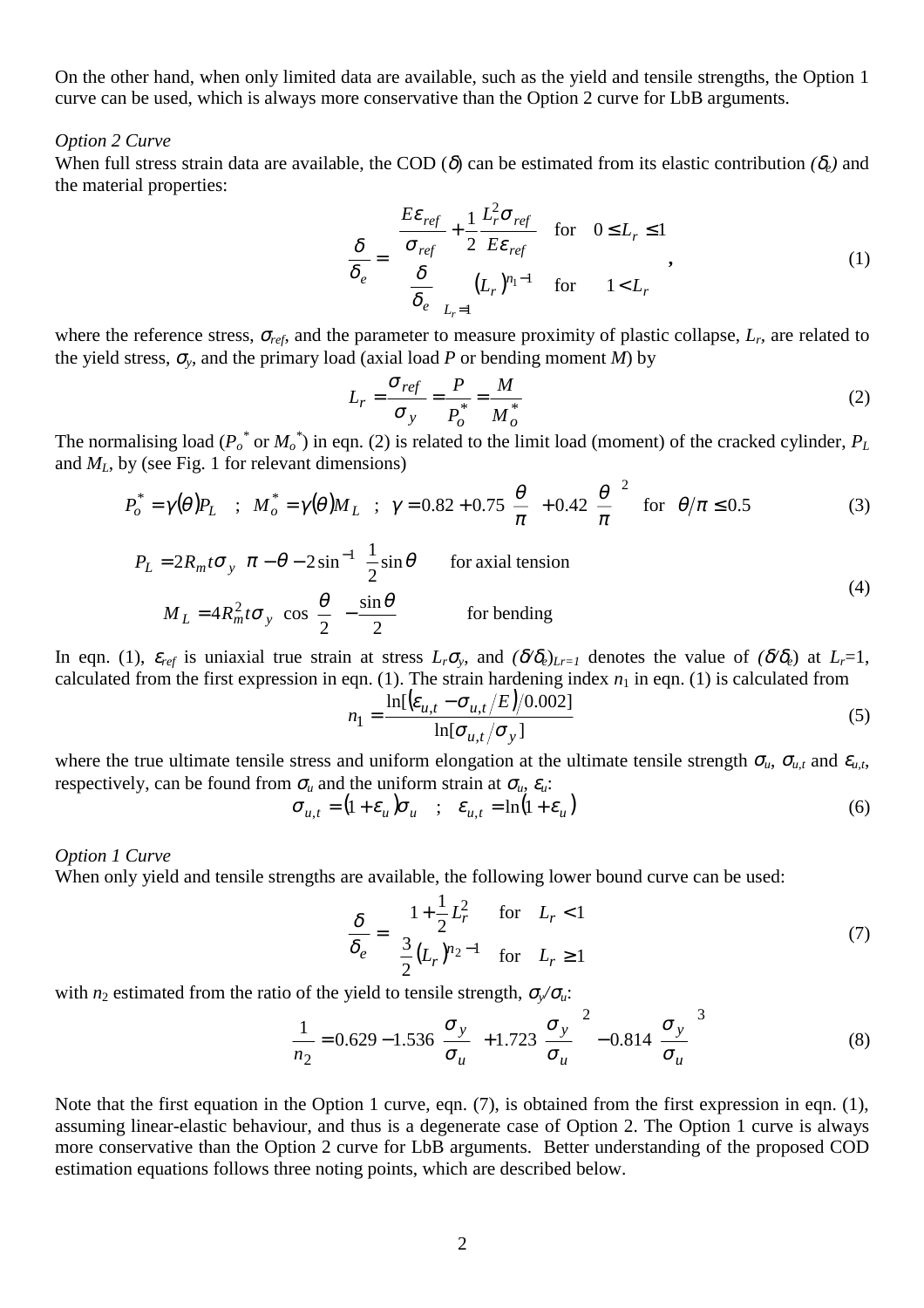On the other hand, when only limited data are available, such as the yield and tensile strengths, the Option 1 curve can be used, which is always more conservative than the Option 2 curve for LbB arguments.

#### *Option 2 Curve*

When full stress strain data are available, the COD ( $\delta$ ) can be estimated from its elastic contribution  $(\delta_e)$  and the material properties:

$$
\frac{\delta}{\delta_e} = \begin{cases}\n\frac{E\varepsilon_{ref}}{\sigma_{ref}} + \frac{1}{2} \frac{L_r^2 \sigma_{ref}}{E\varepsilon_{ref}} & \text{for} \quad 0 \le L_r \le 1 \\
\left(\frac{\delta}{\delta_e}\right)_{L_r=1} (L_r)^{n_1-1} & \text{for} \quad 1 < L_r\n\end{cases}
$$
\n(1)

where the reference stress,  $\sigma_{ref}$ , and the parameter to measure proximity of plastic collapse,  $L_r$ , are related to the yield stress,  $\sigma_{y}$ , and the primary load (axial load *P* or bending moment *M*) by

$$
L_r = \frac{\sigma_{ref}}{\sigma_y} = \frac{P}{P_o^*} = \frac{M}{M_o^*}
$$
 (2)

The normalising load ( $P_o^*$  or  $M_o^*$ ) in eqn. (2) is related to the limit load (moment) of the cracked cylinder,  $P_L$ and  $M_L$ , by (see Fig. 1 for relevant dimensions)

$$
P_o^* = \gamma(\theta) P_L \quad ; \quad M_o^* = \gamma(\theta) M_L \quad ; \quad \gamma = 0.82 + 0.75 \left(\frac{\theta}{\pi}\right) + 0.42 \left(\frac{\theta}{\pi}\right)^2 \quad \text{for} \quad \theta/\pi \le 0.5
$$

$$
\begin{cases}\nP_L = 2R_m t \sigma_y \left[\pi - \theta - 2\sin^{-1}\left(\frac{1}{2}\sin\theta\right)\right] & \text{for axial tension} \\
M_L = 4R_m^2 t \sigma_y \left[\cos\left(\frac{\theta}{2}\right) - \frac{\sin\theta}{2}\right] & \text{for bending}\n\end{cases}
$$
\n(4)

In eqn. (1),  $\varepsilon_{ref}$  is uniaxial true strain at stress  $L_r \sigma_y$ , and  $(\delta' \delta_e)_{L_r=1}$  denotes the value of  $(\delta' \delta_e)$  at  $L_r=1$ , calculated from the first expression in eqn. (1). The strain hardening index  $n_1$  in eqn. (1) is calculated from

$$
n_1 = \frac{\ln[(\varepsilon_{u,t} - \sigma_{u,t}/E)/0.002]}{\ln[\sigma_{u,t}/\sigma_y]}
$$
(5)

where the true ultimate tensile stress and uniform elongation at the ultimate tensile strength  $\sigma_u$ ,  $\sigma_{u,t}$  and  $\varepsilon_{u,t}$ , respectively, can be found from  $\sigma_u$  and the uniform strain at  $\sigma_u$ ,  $\varepsilon_u$ .

$$
\sigma_{u,t} = (1 + \varepsilon_u) \sigma_u \quad ; \quad \varepsilon_{u,t} = \ln(1 + \varepsilon_u) \tag{6}
$$

#### *Option 1 Curve*

When only yield and tensile strengths are available, the following lower bound curve can be used:

$$
\frac{\delta}{\delta_e} = \begin{cases}\n1 + \frac{1}{2} L_r^2 & \text{for } L_r < 1 \\
\frac{3}{2} (L_r)^{n_2 - 1} & \text{for } L_r \ge 1\n\end{cases} (7)
$$

with  $n_2$  estimated from the ratio of the yield to tensile strength,  $\sigma_y/\sigma_u$ :

$$
\frac{1}{n_2} = 0.629 - 1.536 \left(\frac{\sigma_y}{\sigma_u}\right) + 1.723 \left(\frac{\sigma_y}{\sigma_u}\right)^2 - 0.814 \left(\frac{\sigma_y}{\sigma_u}\right)^3 \tag{8}
$$

Note that the first equation in the Option 1 curve, eqn. (7), is obtained from the first expression in eqn. (1), assuming linear-elastic behaviour, and thus is a degenerate case of Option 2. The Option 1 curve is always more conservative than the Option 2 curve for LbB arguments. Better understanding of the proposed COD estimation equations follows three noting points, which are described below.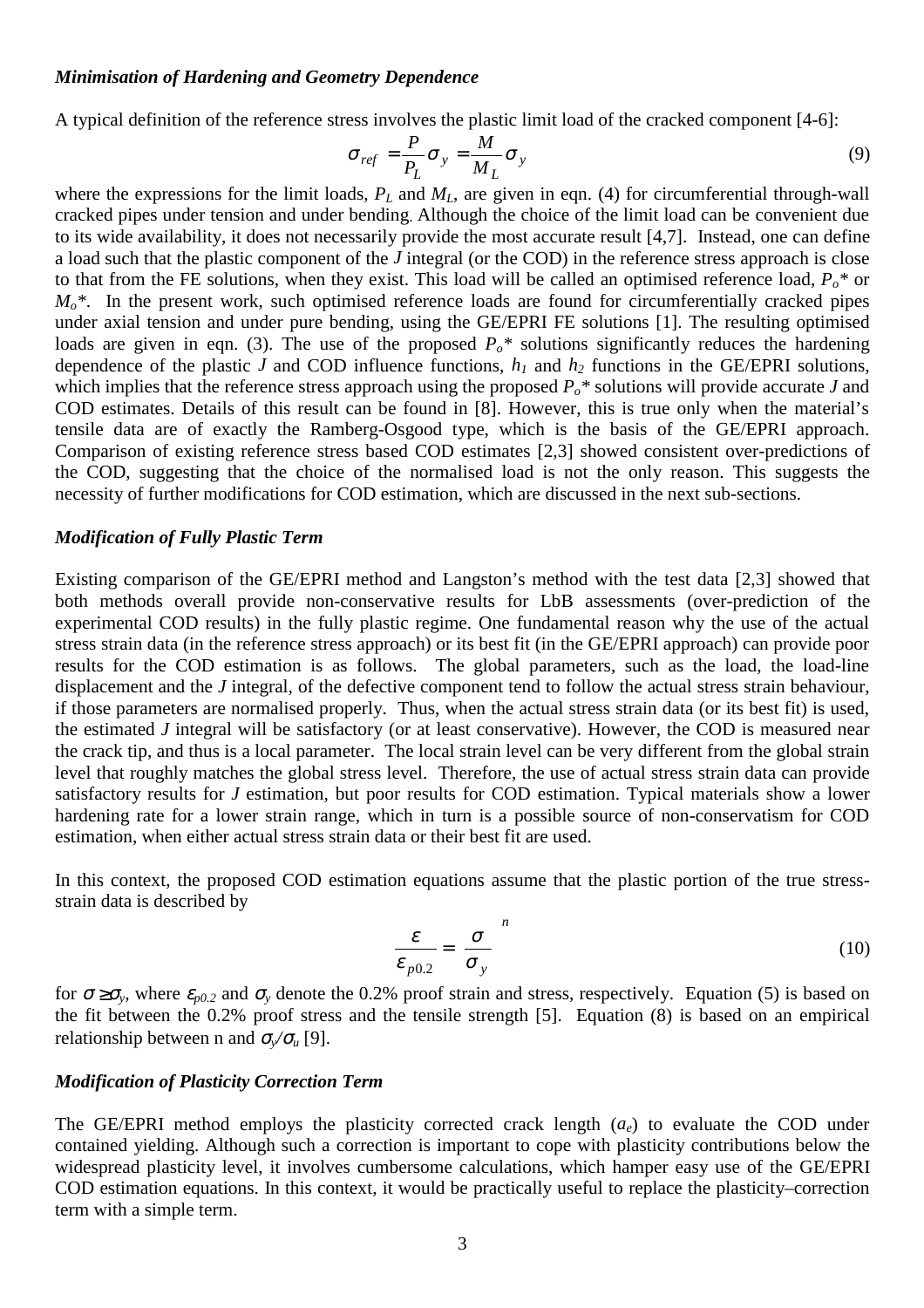#### *Minimisation of Hardening and Geometry Dependence*

A typical definition of the reference stress involves the plastic limit load of the cracked component [4-6]:

$$
\sigma_{ref} = \frac{P}{P_L} \sigma_y = \frac{M}{M_L} \sigma_y \tag{9}
$$

where the expressions for the limit loads,  $P_L$  and  $M_L$ , are given in eqn. (4) for circumferential through-wall cracked pipes under tension and under bending. Although the choice of the limit load can be convenient due to its wide availability, it does not necessarily provide the most accurate result [4,7]. Instead, one can define a load such that the plastic component of the *J* integral (or the COD) in the reference stress approach is close to that from the FE solutions, when they exist. This load will be called an optimised reference load,  $P_0^*$  or  $M_0^*$ . In the present work, such optimised reference loads are found for circumferentially cracked pipes under axial tension and under pure bending, using the GE/EPRI FE solutions [1]. The resulting optimised loads are given in eqn. (3). The use of the proposed  $P_0^*$  solutions significantly reduces the hardening dependence of the plastic *J* and COD influence functions,  $h_1$  and  $h_2$  functions in the GE/EPRI solutions, which implies that the reference stress approach using the proposed  $P_0^*$  solutions will provide accurate *J* and COD estimates. Details of this result can be found in [8]. However, this is true only when the material's tensile data are of exactly the Ramberg-Osgood type, which is the basis of the GE/EPRI approach. Comparison of existing reference stress based COD estimates [2,3] showed consistent over-predictions of the COD, suggesting that the choice of the normalised load is not the only reason. This suggests the necessity of further modifications for COD estimation, which are discussed in the next sub-sections.

## *Modification of Fully Plastic Term*

Existing comparison of the GE/EPRI method and Langston's method with the test data [2,3] showed that both methods overall provide non-conservative results for LbB assessments (over-prediction of the experimental COD results) in the fully plastic regime. One fundamental reason why the use of the actual stress strain data (in the reference stress approach) or its best fit (in the GE/EPRI approach) can provide poor results for the COD estimation is as follows. The global parameters, such as the load, the load-line displacement and the *J* integral, of the defective component tend to follow the actual stress strain behaviour, if those parameters are normalised properly. Thus, when the actual stress strain data (or its best fit) is used, the estimated *J* integral will be satisfactory (or at least conservative). However, the COD is measured near the crack tip, and thus is a local parameter. The local strain level can be very different from the global strain level that roughly matches the global stress level. Therefore, the use of actual stress strain data can provide satisfactory results for *J* estimation, but poor results for COD estimation. Typical materials show a lower hardening rate for a lower strain range, which in turn is a possible source of non-conservatism for COD estimation, when either actual stress strain data or their best fit are used.

In this context, the proposed COD estimation equations assume that the plastic portion of the true stressstrain data is described by

$$
\frac{\varepsilon}{\varepsilon_{p0.2}} = \left(\frac{\sigma}{\sigma_y}\right)^n\tag{10}
$$

for  $\sigma \ge \sigma_y$ , where  $\varepsilon_{p0.2}$  and  $\sigma_y$  denote the 0.2% proof strain and stress, respectively. Equation (5) is based on the fit between the 0.2% proof stress and the tensile strength [5]. Equation (8) is based on an empirical relationship between n and  $\sigma_{v}/\sigma_{u}$  [9].

## *Modification of Plasticity Correction Term*

The GE/EPRI method employs the plasticity corrected crack length (*ae*) to evaluate the COD under contained yielding. Although such a correction is important to cope with plasticity contributions below the widespread plasticity level, it involves cumbersome calculations, which hamper easy use of the GE/EPRI COD estimation equations. In this context, it would be practically useful to replace the plasticity–correction term with a simple term.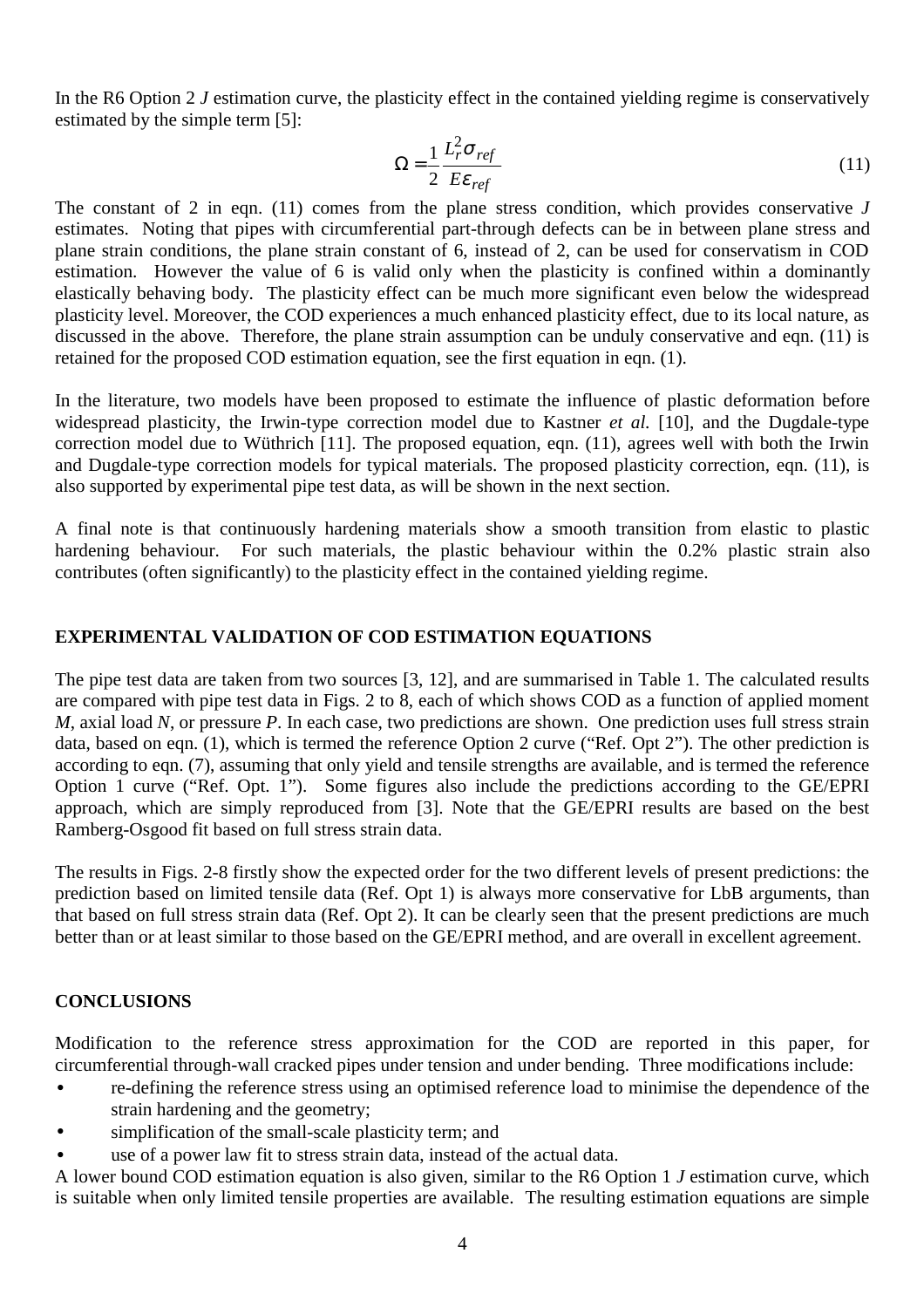In the R6 Option 2 *J* estimation curve, the plasticity effect in the contained yielding regime is conservatively estimated by the simple term [5]:

$$
\Omega = \frac{1}{2} \frac{L_r^2 \sigma_{ref}}{E \varepsilon_{ref}} \tag{11}
$$

The constant of 2 in eqn. (11) comes from the plane stress condition, which provides conservative *J* estimates. Noting that pipes with circumferential part-through defects can be in between plane stress and plane strain conditions, the plane strain constant of 6, instead of 2, can be used for conservatism in COD estimation. However the value of 6 is valid only when the plasticity is confined within a dominantly elastically behaving body. The plasticity effect can be much more significant even below the widespread plasticity level. Moreover, the COD experiences a much enhanced plasticity effect, due to its local nature, as discussed in the above. Therefore, the plane strain assumption can be unduly conservative and eqn. (11) is retained for the proposed COD estimation equation, see the first equation in eqn. (1).

In the literature, two models have been proposed to estimate the influence of plastic deformation before widespread plasticity, the Irwin-type correction model due to Kastner *et al.* [10], and the Dugdale-type correction model due to Wüthrich [11]. The proposed equation, eqn. (11), agrees well with both the Irwin and Dugdale-type correction models for typical materials. The proposed plasticity correction, eqn. (11), is also supported by experimental pipe test data, as will be shown in the next section.

A final note is that continuously hardening materials show a smooth transition from elastic to plastic hardening behaviour. For such materials, the plastic behaviour within the 0.2% plastic strain also contributes (often significantly) to the plasticity effect in the contained yielding regime.

## **EXPERIMENTAL VALIDATION OF COD ESTIMATION EQUATIONS**

The pipe test data are taken from two sources [3, 12], and are summarised in Table 1. The calculated results are compared with pipe test data in Figs. 2 to 8, each of which shows COD as a function of applied moment *M*, axial load *N*, or pressure *P*. In each case, two predictions are shown. One prediction uses full stress strain data, based on eqn. (1), which is termed the reference Option 2 curve ("Ref. Opt 2"). The other prediction is according to eqn. (7), assuming that only yield and tensile strengths are available, and is termed the reference Option 1 curve ("Ref. Opt. 1"). Some figures also include the predictions according to the GE/EPRI approach, which are simply reproduced from [3]. Note that the GE/EPRI results are based on the best Ramberg-Osgood fit based on full stress strain data.

The results in Figs. 2-8 firstly show the expected order for the two different levels of present predictions: the prediction based on limited tensile data (Ref. Opt 1) is always more conservative for LbB arguments, than that based on full stress strain data (Ref. Opt 2). It can be clearly seen that the present predictions are much better than or at least similar to those based on the GE/EPRI method, and are overall in excellent agreement.

# **CONCLUSIONS**

Modification to the reference stress approximation for the COD are reported in this paper, for circumferential through-wall cracked pipes under tension and under bending. Three modifications include:

- re-defining the reference stress using an optimised reference load to minimise the dependence of the strain hardening and the geometry;
- simplification of the small-scale plasticity term; and
- use of a power law fit to stress strain data, instead of the actual data.

A lower bound COD estimation equation is also given, similar to the R6 Option 1 *J* estimation curve, which is suitable when only limited tensile properties are available. The resulting estimation equations are simple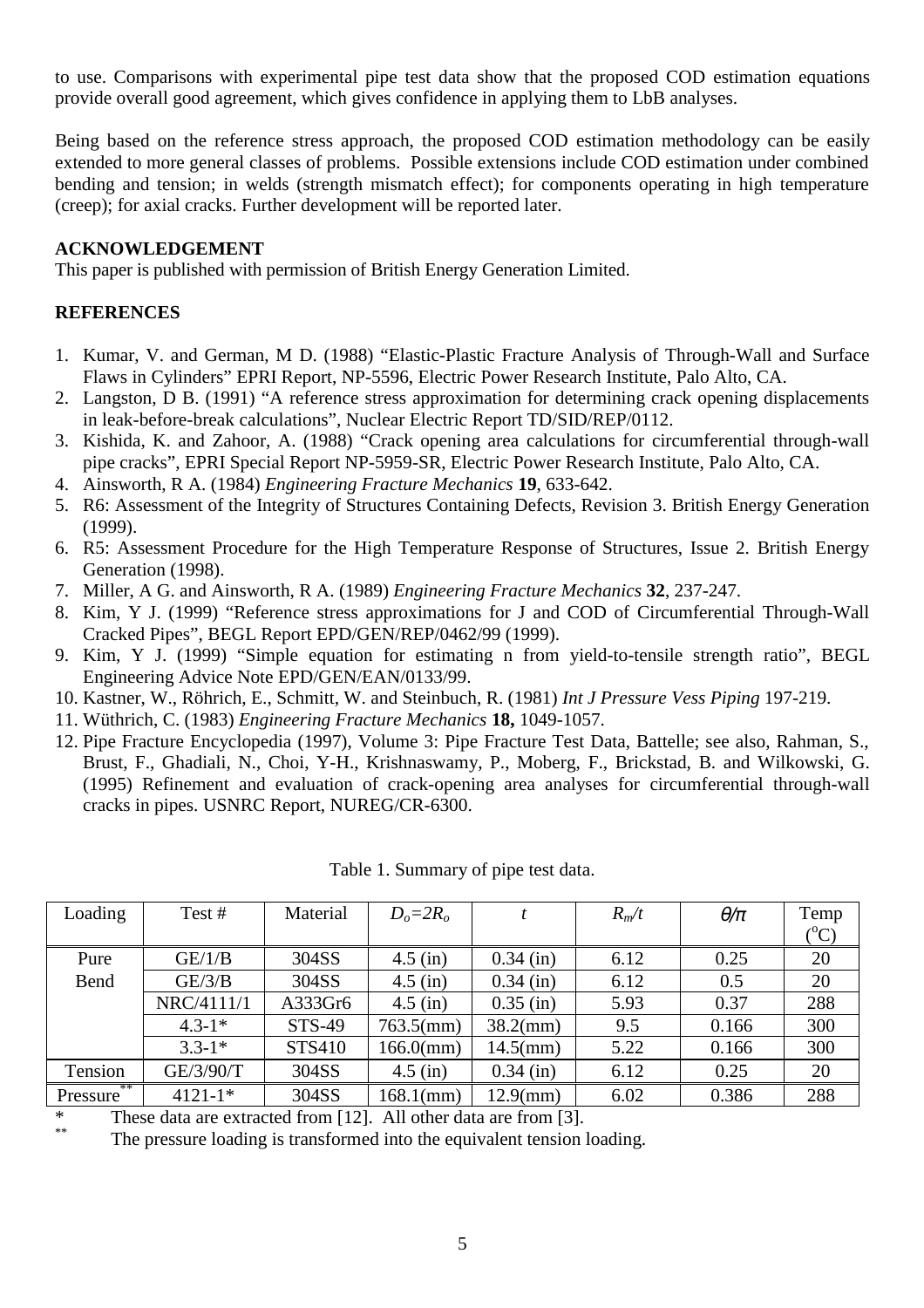to use. Comparisons with experimental pipe test data show that the proposed COD estimation equations provide overall good agreement, which gives confidence in applying them to LbB analyses.

Being based on the reference stress approach, the proposed COD estimation methodology can be easily extended to more general classes of problems. Possible extensions include COD estimation under combined bending and tension; in welds (strength mismatch effect); for components operating in high temperature (creep); for axial cracks. Further development will be reported later.

# **ACKNOWLEDGEMENT**

This paper is published with permission of British Energy Generation Limited.

## **REFERENCES**

- 1. Kumar, V. and German, M D. (1988) "Elastic-Plastic Fracture Analysis of Through-Wall and Surface Flaws in Cylinders" EPRI Report, NP-5596, Electric Power Research Institute, Palo Alto, CA.
- 2. Langston, D B. (1991) "A reference stress approximation for determining crack opening displacements in leak-before-break calculations", Nuclear Electric Report TD/SID/REP/0112.
- 3. Kishida, K. and Zahoor, A. (1988) "Crack opening area calculations for circumferential through-wall pipe cracks", EPRI Special Report NP-5959-SR, Electric Power Research Institute, Palo Alto, CA.
- 4. Ainsworth, R A. (1984) *Engineering Fracture Mechanics* **19**, 633-642.
- 5. R6: Assessment of the Integrity of Structures Containing Defects, Revision 3. British Energy Generation (1999).
- 6. R5: Assessment Procedure for the High Temperature Response of Structures, Issue 2. British Energy Generation (1998).
- 7. Miller, A G. and Ainsworth, R A. (1989) *Engineering Fracture Mechanics* **32**, 237-247.
- 8. Kim, Y J. (1999) "Reference stress approximations for J and COD of Circumferential Through-Wall Cracked Pipes", BEGL Report EPD/GEN/REP/0462/99 (1999).
- 9. Kim, Y J. (1999) "Simple equation for estimating n from yield-to-tensile strength ratio", BEGL Engineering Advice Note EPD/GEN/EAN/0133/99.
- 10. Kastner, W., Röhrich, E., Schmitt, W. and Steinbuch, R. (1981) *Int J Pressure Vess Piping* 197-219.
- 11. Wüthrich, C. (1983) *Engineering Fracture Mechanics* **18,** 1049-1057.
- 12. Pipe Fracture Encyclopedia (1997), Volume 3: Pipe Fracture Test Data, Battelle; see also, Rahman, S., Brust, F., Ghadiali, N., Choi, Y-H., Krishnaswamy, P., Moberg, F., Brickstad, B. and Wilkowski, G. (1995) Refinement and evaluation of crack-opening area analyses for circumferential through-wall cracks in pipes. USNRC Report, NUREG/CR-6300.

| Loading        | Test #      | Material      | $Do=2Ro$     |             | $R_m/t$ | $\theta/\pi$ | Temp               |
|----------------|-------------|---------------|--------------|-------------|---------|--------------|--------------------|
|                |             |               |              |             |         |              | $(^{0}\mathrm{C})$ |
| Pure           | GE/1/B      | 304SS         | $4.5$ (in)   | $0.34$ (in) | 6.12    | 0.25         | 20                 |
| Bend           | GE/3/B      | 304SS         | $4.5$ (in)   | $0.34$ (in) | 6.12    | 0.5          | 20                 |
|                | NRC/4111/1  | A333Gr6       | $4.5$ (in)   | $0.35$ (in) | 5.93    | 0.37         | 288                |
|                | $4.3 - 1*$  | <b>STS-49</b> | $763.5$ (mm) | $38.2$ (mm) | 9.5     | 0.166        | 300                |
|                | $3.3 - 1*$  | STS410        | $166.0$ (mm) | $14.5$ (mm) | 5.22    | 0.166        | 300                |
| Tension        | GE/3/90/T   | 304SS         | $4.5$ (in)   | $0.34$ (in) | 6.12    | 0.25         | 20                 |
| **<br>Pressure | $4121 - 1*$ | 304SS         | $168.1$ (mm) | $12.9$ (mm) | 6.02    | 0.386        | 288                |

Table 1. Summary of pipe test data.

\* These data are extracted from [12]. All other data are from [3].

The pressure loading is transformed into the equivalent tension loading.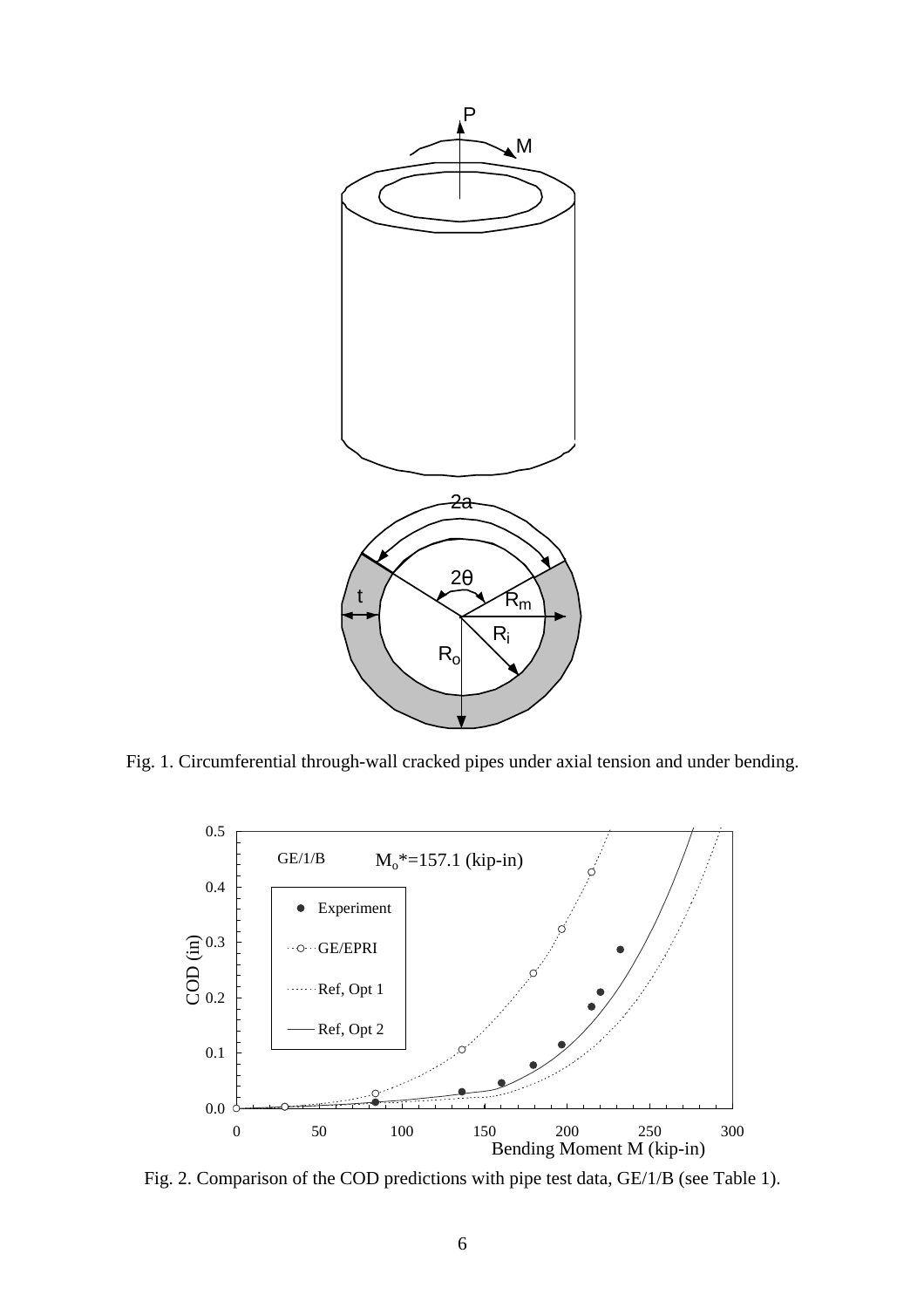

Fig. 1. Circumferential through-wall cracked pipes under axial tension and under bending.



Fig. 2. Comparison of the COD predictions with pipe test data, GE/1/B (see Table 1).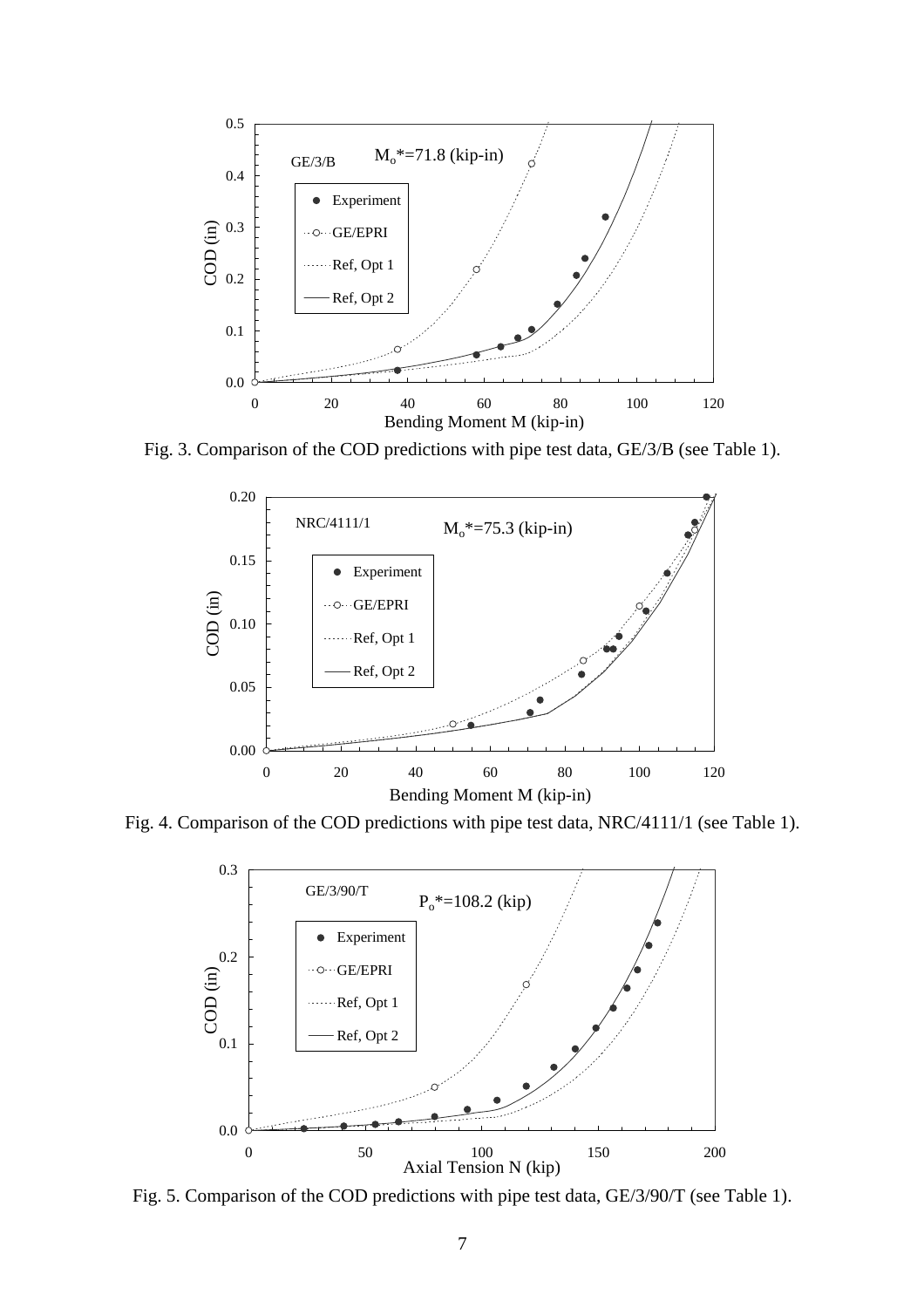

Fig. 3. Comparison of the COD predictions with pipe test data, GE/3/B (see Table 1).



Fig. 4. Comparison of the COD predictions with pipe test data, NRC/4111/1 (see Table 1).



Fig. 5. Comparison of the COD predictions with pipe test data, GE/3/90/T (see Table 1).